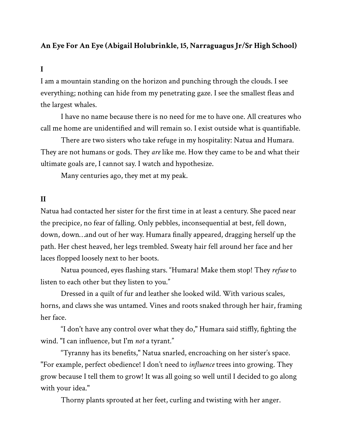## **An Eye For An Eye (Abigail Holubrinkle, 15, Narraguagus Jr/Sr High School)**

## **I**

I am a mountain standing on the horizon and punching through the clouds. I see everything; nothing can hide from my penetrating gaze. I see the smallest fleas and the largest whales.

I have no name because there is no need for me to have one. All creatures who call me home are unidentified and will remain so. I exist outside what is quantifiable.

There are two sisters who take refuge in my hospitality: Natua and Humara. They are not humans or gods. They *are* like me. How they came to be and what their ultimate goals are, I cannot say. I watch and hypothesize.

Many centuries ago, they met at my peak.

## **II**

Natua had contacted her sister for the first time in at least a century. She paced near the precipice, no fear of falling. Only pebbles, inconsequential at best, fell down, down, down…and out of her way. Humara finally appeared, dragging herself up the path. Her chest heaved, her legs trembled. Sweaty hair fell around her face and her laces flopped loosely next to her boots.

Natua pounced, eyes flashing stars. "Humara! Make them stop! They *refuse* to listen to each other but they listen to you."

Dressed in a quilt of fur and leather she looked wild. With various scales, horns, and claws she was untamed. Vines and roots snaked through her hair, framing her face.

"I don't have any control over what they do," Humara said stiffly, fighting the wind. "I can influence, but I'm *not* a tyrant."

"Tyranny has its benefits," Natua snarled, encroaching on her sister's space. "For example, perfect obedience! I don't need to *influence* trees into growing. They grow because I tell them to grow! It was all going so well until I decided to go along with your idea."

Thorny plants sprouted at her feet, curling and twisting with her anger.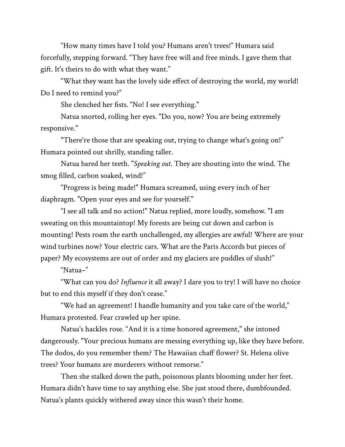"How many times have I told you? Humans aren't trees!" Humara said forcefully, stepping forward. "They have free will and free minds. I gave them that gift. It's theirs to do with what they want."

"What they want has the lovely side effect of destroying the world, my world! Do I need to remind you?"

She clenched her fists. "No! I see everything."

Natua snorted, rolling her eyes. "Do you, now? You are being extremely responsive."

"There're those that are speaking out, trying to change what's going on!" Humara pointed out shrilly, standing taller.

Natua bared her teeth. "*Speaking out*. They are shouting into the wind. The smog filled, carbon soaked, wind!"

"Progress is being made!" Humara screamed, using every inch of her diaphragm. "Open your eyes and see for yourself."

"I see all talk and no action!" Natua replied, more loudly, somehow. "I am sweating on this mountaintop! My forests are being cut down and carbon is mounting! Pests roam the earth unchallenged, my allergies are awful! Where are your wind turbines now? Your electric cars. What are the Paris Accords but pieces of paper? My ecosystems are out of order and my glaciers are puddles of slush!"

"Natua–"

"What can you do? *Influence* it all away? I dare you to try! I will have no choice but to end this myself if they don't cease."

"We had an agreement! I handle humanity and you take care of the world," Humara protested. Fear crawled up her spine.

Natua's hackles rose. "And it is a time honored agreement," she intoned dangerously. "Your precious humans are messing everything up, like they have before. The dodos, do you remember them? The Hawaiian chaff flower? St. Helena olive trees? Your humans are murderers without remorse."

Then she stalked down the path, poisonous plants blooming under her feet. Humara didn't have time to say anything else. She just stood there, dumbfounded. Natua's plants quickly withered away since this wasn't their home.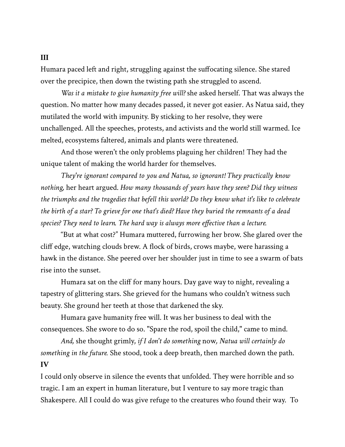Humara paced left and right, struggling against the suffocating silence. She stared over the precipice, then down the twisting path she struggled to ascend.

*Was it a mistake to give humanity free will?* she asked herself. That was always the question. No matter how many decades passed, it never got easier. As Natua said, they mutilated the world with impunity. By sticking to her resolve, they were unchallenged. All the speeches, protests, and activists and the world still warmed. Ice melted, ecosystems faltered, animals and plants were threatened.

And those weren't the only problems plaguing her children! They had the unique talent of making the world harder for themselves.

*They're ignorant compared to you and Natua, so ignorant! They practically know nothing,* her heart argued. *How many thousands of years have they seen? Did they witness the triumphs and the tragedies that befell this world? Do they know what it's like to celebrate the birth of a star? To grieve for one that's died? Have they buried the remnants of a dead species? They need to learn. The hard way is always more effective than a lecture.*

"But at what cost?" Humara muttered, furrowing her brow. She glared over the cliff edge, watching clouds brew. A flock of birds, crows maybe, were harassing a hawk in the distance. She peered over her shoulder just in time to see a swarm of bats rise into the sunset.

Humara sat on the cliff for many hours. Day gave way to night, revealing a tapestry of glittering stars. She grieved for the humans who couldn't witness such beauty. She ground her teeth at those that darkened the sky.

Humara gave humanity free will. It was her business to deal with the consequences. She swore to do so. "Spare the rod, spoil the child," came to mind.

*And,* she thought grimly, *if I don't do something* now*, Natua will certainly do something in the future.* She stood, took a deep breath, then marched down the path. **IV**

I could only observe in silence the events that unfolded. They were horrible and so tragic. I am an expert in human literature, but I venture to say more tragic than Shakespere. All I could do was give refuge to the creatures who found their way. To

## **III**